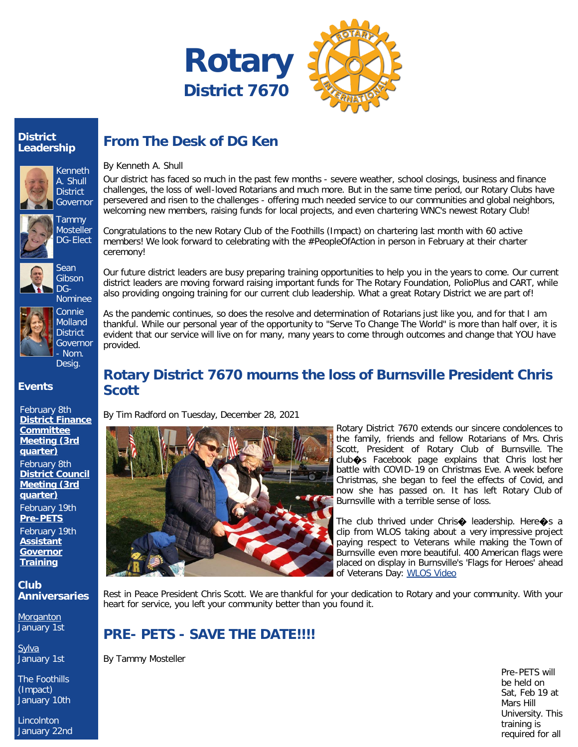



#### **District Leadership**









Molland **District** Governor - Nom. Desig.

Connie

#### **Events**

February 8th **[District Finance](https://ismyrotaryclub.com/wp_api_prod_1-1/R_Event.cfm?fixTables=0&fixImages=0&EventID=77565964) [Committee](https://ismyrotaryclub.com/wp_api_prod_1-1/R_Event.cfm?fixTables=0&fixImages=0&EventID=77565964) [Meeting \(3rd](https://ismyrotaryclub.com/wp_api_prod_1-1/R_Event.cfm?fixTables=0&fixImages=0&EventID=77565964) [quarter\)](https://ismyrotaryclub.com/wp_api_prod_1-1/R_Event.cfm?fixTables=0&fixImages=0&EventID=77565964)** February 8th **[District Council](https://ismyrotaryclub.com/wp_api_prod_1-1/R_Event.cfm?fixTables=0&fixImages=0&EventID=77565965) [Meeting \(3rd](https://ismyrotaryclub.com/wp_api_prod_1-1/R_Event.cfm?fixTables=0&fixImages=0&EventID=77565965) [quarter\)](https://ismyrotaryclub.com/wp_api_prod_1-1/R_Event.cfm?fixTables=0&fixImages=0&EventID=77565965)** February 19th **[Pre-PETS](https://ismyrotaryclub.com/wp_api_prod_1-1/R_Event.cfm?fixTables=0&fixImages=0&EventID=77574428)** February 19th **[Assistant](https://ismyrotaryclub.com/wp_api_prod_1-1/R_Event.cfm?fixTables=0&fixImages=0&EventID=77574574)**

**[Training](https://ismyrotaryclub.com/wp_api_prod_1-1/R_Event.cfm?fixTables=0&fixImages=0&EventID=77574574) Club**

**Anniversaries**

**[Governor](https://ismyrotaryclub.com/wp_api_prod_1-1/R_Event.cfm?fixTables=0&fixImages=0&EventID=77574574)**

**[Morganton](https://www.dacdb.com/Ezbulletin2/ClubAnniversaryQQ.ClubURL)** 

January 1st **[Sylva](https://www.dacdb.com/Ezbulletin2/ClubAnniversaryQQ.ClubURL)** 

January 1st

The Foothills (Impact) January 10th

Lincolnton January 22nd

# **From The Desk of DG Ken**

By Kenneth A. Shull

Our district has faced so much in the past few months - severe weather, school closings, business and finance challenges, the loss of well-loved Rotarians and much more. But in the same time period, our Rotary Clubs have persevered and risen to the challenges - offering much needed service to our communities and global neighbors, welcoming new members, raising funds for local projects, and even chartering WNC's newest Rotary Club!

Congratulations to the new Rotary Club of the Foothills (Impact) on chartering last month with 60 active members! We look forward to celebrating with the #PeopleOfAction in person in February at their charter ceremony!

Our future district leaders are busy preparing training opportunities to help you in the years to come. Our current district leaders are moving forward raising important funds for The Rotary Foundation, PolioPlus and CART, while also providing ongoing training for our current club leadership. What a great Rotary District we are part of!

As the pandemic continues, so does the resolve and determination of Rotarians just like you, and for that I am thankful. While our personal year of the opportunity to "Serve To Change The World" is more than half over, it is evident that our service will live on for many, many years to come through outcomes and change that YOU have provided.

### **Rotary District 7670 mourns the loss of Burnsville President Chris Scott**

By Tim Radford on Tuesday, December 28, 2021



Rotary District 7670 extends our sincere condolences to the family, friends and fellow Rotarians of Mrs. Chris Scott, President of Rotary Club of Burnsville. The club�s Facebook page explains that Chris lost her battle with COVID-19 on Christmas Eve. A week before Christmas, she began to feel the effects of Covid, and now she has passed on. It has left Rotary Club of Burnsville with a terrible sense of loss.

The club thrived under Chris $\bigcirc$  leadership. Here $\bigcirc$ s a clip from WLOS taking about a very impressive project paying respect to Veterans while making the Town of Burnsville even more beautiful. 400 American flags were placed on display in Burnsville's 'Flags for Heroes' ahead of Veterans Day: [WLOS Video](https://wlos.com/news/local/400-american-flags-on-display-in-burnsvilles-flags-for-heroes-ahead-of-veterans-day)

Rest in Peace President Chris Scott. We are thankful for your dedication to Rotary and your community. With your heart for service, you left your community better than you found it.

# **PRE- PETS - SAVE THE DATE!!!!**

By Tammy Mosteller

Pre-PETS will be held on Sat, Feb 19 at Mars Hill University. This training is required for all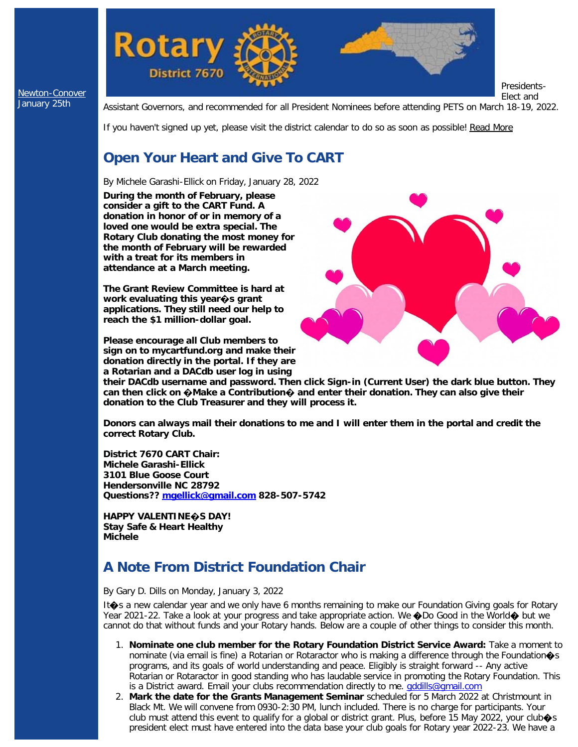

[Newton-Conover](https://www.dacdb.com/Ezbulletin2/ClubAnniversaryQQ.ClubURL) January 25th

Assistant Governors, and recommended for all President Nominees before attending PETS on March 18-19, 2022.

If you haven't signed up yet, please visit the district calendar to do so as soon as possible! [Read More](https://ismyrotaryclub.com/story/ezBulletinMore.cfm?StoryID=158390)

## **Open Your Heart and Give To CART**

By Michele Garashi-Ellick on Friday, January 28, 2022

**During the month of February, please consider a gift to the CART Fund. A donation in honor of or in memory of a loved one would be extra special. The Rotary Club donating the most money for the month of February will be rewarded with a treat for its members in attendance at a March meeting.**

**The Grant Review Committee is hard at work evaluating this year�s grant applications. They still need our help to reach the \$1 million-dollar goal.**

**Please encourage all Club members to sign on to mycartfund.org and make their donation directly in the portal. If they are a Rotarian and a DACdb user log in using**



**their DACdb username and password. Then click Sign-in (Current User) the dark blue button. They can then click on �Make a Contribution� and enter their donation. They can also give their donation to the Club Treasurer and they will process it.**

**Donors can always mail their donations to me and I will enter them in the portal and credit the correct Rotary Club.**

**District 7670 CART Chair: Michele Garashi-Ellick 3101 Blue Goose Court Hendersonville NC 28792 Questions?? [mgellick@gmail.com](mailto:mgellick@gmail.com) 828-507-5742**

**HAPPY VALENTINE�S DAY! Stay Safe & Heart Healthy Michele**

# **A Note From District Foundation Chair**

By Gary D. Dills on Monday, January 3, 2022

It $\spadesuit$ s a new calendar year and we only have 6 months remaining to make our Foundation Giving goals for Rotary Year 2021-22. Take a look at your progress and take appropriate action. We  $\bigcirc$ Do Good in the World $\bigcirc$  but we cannot do that without funds and your Rotary hands. Below are a couple of other things to consider this month.

- 1. **Nominate one club member for the Rotary Foundation District Service Award:** Take a moment to nominate (via email is fine) a Rotarian or Rotaractor who is making a difference through the Foundation  $\circ$ s programs, and its goals of world understanding and peace. Eligibly is straight forward -- Any active Rotarian or Rotaractor in good standing who has laudable service in promoting the Rotary Foundation. This is a District award. Email your clubs recommendation directly to me. *gddills@gmail.com*
- 2. **Mark the date for the Grants Management Seminar** scheduled for 5 March 2022 at Christmount in Black Mt. We will convene from 0930-2:30 PM, lunch included. There is no charge for participants. Your club must attend this event to qualify for a global or district grant. Plus, before 15 May 2022, your club $\otimes$ s president elect must have entered into the data base your club goals for Rotary year 2022-23. We have a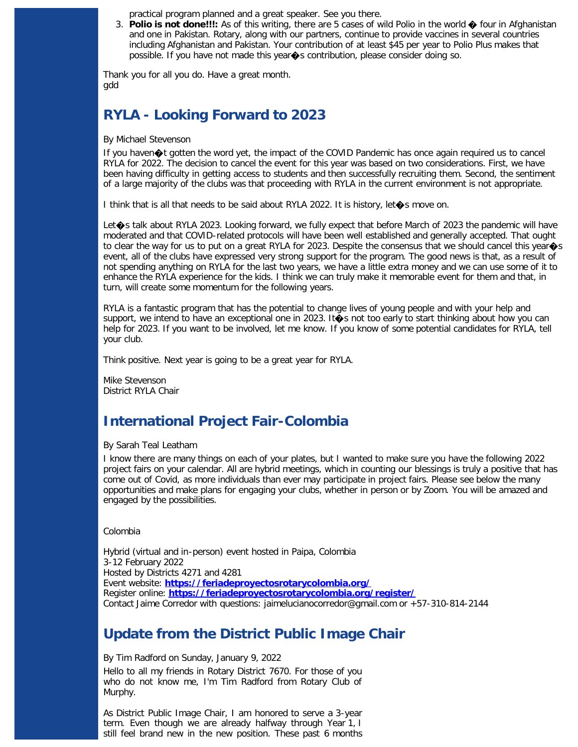practical program planned and a great speaker. See you there.

3. **Polio is not done!!!:** As of this writing, there are 5 cases of wild Polio in the world � four in Afghanistan and one in Pakistan. Rotary, along with our partners, continue to provide vaccines in several countries including Afghanistan and Pakistan. Your contribution of at least \$45 per year to Polio Plus makes that possible. If you have not made this year�s contribution, please consider doing so.

Thank you for all you do. Have a great month. gdd

#### **RYLA - Looking Forward to 2023**

By Michael Stevenson

If you haven�t gotten the word yet, the impact of the COVID Pandemic has once again required us to cancel RYLA for 2022. The decision to cancel the event for this year was based on two considerations. First, we have been having difficulty in getting access to students and then successfully recruiting them. Second, the sentiment of a large majority of the clubs was that proceeding with RYLA in the current environment is not appropriate.

I think that is all that needs to be said about RYLA 2022. It is history, let�s move on.

Let $\diamondsuit$  talk about RYLA 2023. Looking forward, we fully expect that before March of 2023 the pandemic will have moderated and that COVID-related protocols will have been well established and generally accepted. That ought to clear the way for us to put on a great RYLA for 2023. Despite the consensus that we should cancel this year $\diamondsuit$ s event, all of the clubs have expressed very strong support for the program. The good news is that, as a result of not spending anything on RYLA for the last two years, we have a little extra money and we can use some of it to enhance the RYLA experience for the kids. I think we can truly make it memorable event for them and that, in turn, will create some momentum for the following years.

RYLA is a fantastic program that has the potential to change lives of young people and with your help and support, we intend to have an exceptional one in 2023. It  $\bullet$  s not too early to start thinking about how you can help for 2023. If you want to be involved, let me know. If you know of some potential candidates for RYLA, tell your club.

Think positive. Next year is going to be a great year for RYLA.

Mike Stevenson District RYLA Chair

#### **International Project Fair-Colombia**

By Sarah Teal Leatham

I know there are many things on each of your plates, but I wanted to make sure you have the following 2022 project fairs on your calendar. All are hybrid meetings, which in counting our blessings is truly a positive that has come out of Covid, as more individuals than ever may participate in project fairs. Please see below the many opportunities and make plans for engaging your clubs, whether in person or by Zoom. You will be amazed and engaged by the possibilities.

Colombia

Hybrid (virtual and in-person) event hosted in Paipa, Colombia 3-12 February 2022 Hosted by Districts 4271 and 4281 Event website: **<https://feriadeproyectosrotarycolombia.org/>** Register online: **<https://feriadeproyectosrotarycolombia.org/register/>** Contact Jaime Corredor with questions: jaimelucianocorredor@gmail.com or +57-310-814-2144

#### **Update from the District Public Image Chair**

By Tim Radford on Sunday, January 9, 2022 Hello to all my friends in Rotary District 7670. For those of you who do not know me, I'm Tim Radford from Rotary Club of Murphy.

As District Public Image Chair, I am honored to serve a 3-year term. Even though we are already halfway through Year 1, I still feel brand new in the new position. These past 6 months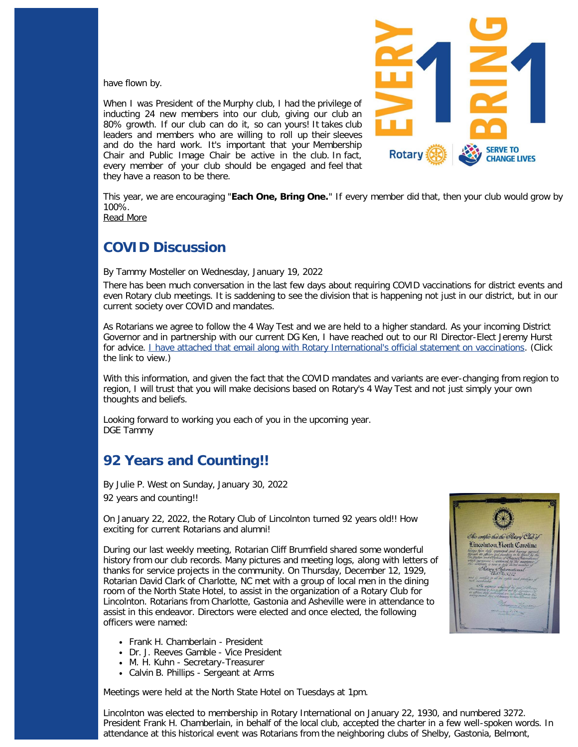have flown by.

When I was President of the Murphy club, I had the privilege of inducting 24 new members into our club, giving our club an 80% growth. If our club can do it, so can yours! It takes club leaders and members who are willing to roll up their sleeves and do the hard work. It's important that your Membership Chair and Public Image Chair be active in the club. In fact, every member of your club should be engaged and feel that they have a reason to be there.



This year, we are encouraging "**Each One, Bring One.**" If every member did that, then your club would grow by 100%.

[Read More](https://ismyrotaryclub.com/story/ezBulletinMore.cfm?StoryID=157020)

#### **COVID Discussion**

By Tammy Mosteller on Wednesday, January 19, 2022

There has been much conversation in the last few days about requiring COVID vaccinations for district events and even Rotary club meetings. It is saddening to see the division that is happening not just in our district, but in our current society over COVID and mandates.

As Rotarians we agree to follow the 4 Way Test and we are held to a higher standard. As your incoming District Governor and in partnership with our current DG Ken, I have reached out to our RI Director-Elect Jeremy Hurst for advice. *I have attached that email along with Rotary International's official statement on vaccinations*. (Click the link to view.)

With this information, and given the fact that the COVID mandates and variants are ever-changing from region to region, I will trust that you will make decisions based on Rotary's 4 Way Test and not just simply your own thoughts and beliefs.

Looking forward to working you each of you in the upcoming year. DGE Tammy

## **92 Years and Counting!!**

By Julie P. West on Sunday, January 30, 2022 92 years and counting!!

On January 22, 2022, the Rotary Club of Lincolnton turned 92 years old!! How exciting for current Rotarians and alumni!

During our last weekly meeting, Rotarian Cliff Brumfield shared some wonderful history from our club records. Many pictures and meeting logs, along with letters of thanks for service projects in the community. On Thursday, December 12, 1929, Rotarian David Clark of Charlotte, NC met with a group of local men in the dining room of the North State Hotel, to assist in the organization of a Rotary Club for Lincolnton. Rotarians from Charlotte, Gastonia and Asheville were in attendance to assist in this endeavor. Directors were elected and once elected, the following officers were named:

- Frank H. Chamberlain President
- Dr. J. Reeves Gamble Vice President
- M. H. Kuhn Secretary-Treasurer
- Calvin B. Phillips Sergeant at Arms

Meetings were held at the North State Hotel on Tuesdays at 1pm.



Lincolnton was elected to membership in Rotary International on January 22, 1930, and numbered 3272. President Frank H. Chamberlain, in behalf of the local club, accepted the charter in a few well-spoken words. In attendance at this historical event was Rotarians from the neighboring clubs of Shelby, Gastonia, Belmont,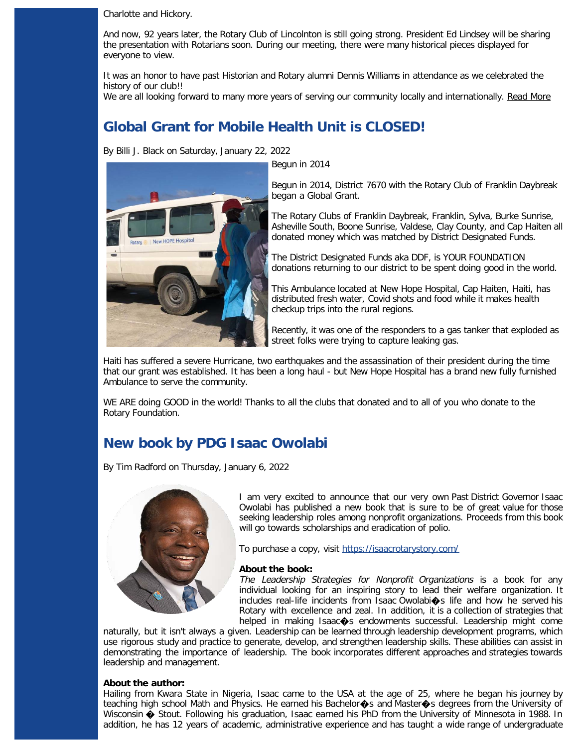Charlotte and Hickory.

And now, 92 years later, the Rotary Club of Lincolnton is still going strong. President Ed Lindsey will be sharing the presentation with Rotarians soon. During our meeting, there were many historical pieces displayed for everyone to view.

It was an honor to have past Historian and Rotary alumni Dennis Williams in attendance as we celebrated the history of our club!!

We are all looking forward to many more years of serving our community locally and internationally. [Read More](https://ismyrotaryclub.com/story/ezBulletinMore.cfm?StoryID=160103)

## **Global Grant for Mobile Health Unit is CLOSED!**

By Billi J. Black on Saturday, January 22, 2022

| New HOPE Hospital Potary

Begun in 2014

Begun in 2014, District 7670 with the Rotary Club of Franklin Daybreak began a Global Grant.

The Rotary Clubs of Franklin Daybreak, Franklin, Sylva, Burke Sunrise, Asheville South, Boone Sunrise, Valdese, Clay County, and Cap Haiten all donated money which was matched by District Designated Funds.

The District Designated Funds aka DDF, is YOUR FOUNDATION donations returning to our district to be spent doing good in the world.

This Ambulance located at New Hope Hospital, Cap Haiten, Haiti, has distributed fresh water, Covid shots and food while it makes health checkup trips into the rural regions.

Recently, it was one of the responders to a gas tanker that exploded as street folks were trying to capture leaking gas.

Haiti has suffered a severe Hurricane, two earthquakes and the assassination of their president during the time that our grant was established. It has been a long haul - but New Hope Hospital has a brand new fully furnished Ambulance to serve the community.

WE ARE doing GOOD in the world! Thanks to all the clubs that donated and to all of you who donate to the Rotary Foundation.

## **New book by PDG Isaac Owolabi**

By Tim Radford on Thursday, January 6, 2022



I am very excited to announce that our very own Past District Governor Isaac Owolabi has published a new book that is sure to be of great value for those seeking leadership roles among nonprofit organizations. Proceeds from this book will go towards scholarships and eradication of polio.

To purchase a copy, visit<https://isaacrotarystory.com/>

#### **About the book:**

The Leadership Strategies for Nonprofit Organizations is a book for any individual looking for an inspiring story to lead their welfare organization. It includes real-life incidents from Isaac Owolabi $\spadesuit$ s life and how he served his Rotary with excellence and zeal. In addition, it is a collection of strategies that helped in making Isaac $\Leftrightarrow$ s endowments successful. Leadership might come

naturally, but it isn't always a given. Leadership can be learned through leadership development programs, which use rigorous study and practice to generate, develop, and strengthen leadership skills. These abilities can assist in demonstrating the importance of leadership. The book incorporates different approaches and strategies towards leadership and management.

#### **About the author:**

Hailing from Kwara State in Nigeria, Isaac came to the USA at the age of 25, where he began his journey by teaching high school Math and Physics. He earned his Bachelor $\hat{\bullet}$ s and Master $\hat{\bullet}$ s degrees from the University of Wisconsin  $\clubsuit$  Stout. Following his graduation, Isaac earned his PhD from the University of Minnesota in 1988. In addition, he has 12 years of academic, administrative experience and has taught a wide range of undergraduate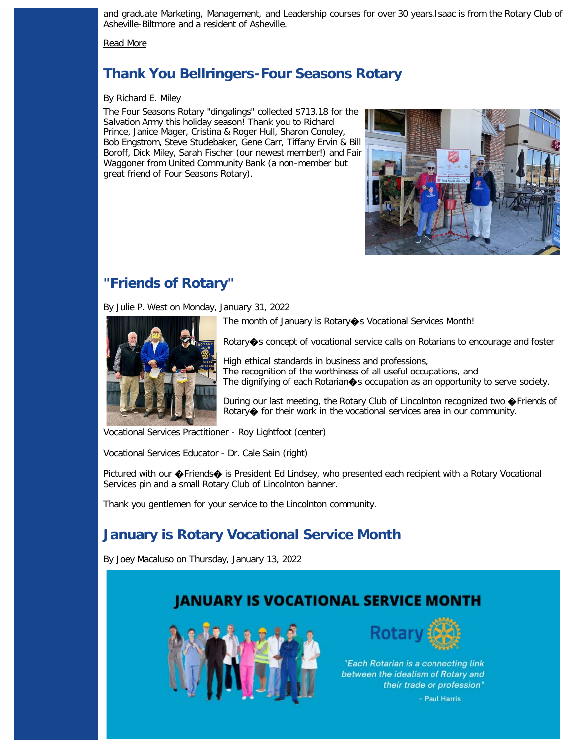and graduate Marketing, Management, and Leadership courses for over 30 years.Isaac is from the Rotary Club of Asheville-Biltmore and a resident of Asheville.

[Read More](https://ismyrotaryclub.com/story/ezBulletinMore.cfm?StoryID=157207)

## **Thank You Bellringers-Four Seasons Rotary**

#### By Richard E. Miley

The Four Seasons Rotary "dingalings" collected \$713.18 for the Salvation Army this holiday season! Thank you to Richard Prince, Janice Mager, Cristina & Roger Hull, Sharon Conoley, Bob Engstrom, Steve Studebaker, Gene Carr, Tiffany Ervin & Bill Boroff, Dick Miley, Sarah Fischer (our newest member!) and Fair Waggoner from United Community Bank (a non-member but great friend of Four Seasons Rotary).



## **"Friends of Rotary"**

By Julie P. West on Monday, January 31, 2022



The month of January is Rotary  $\bullet$ s Vocational Services Month!

Rotary $\spadesuit$ s concept of vocational service calls on Rotarians to encourage and foster

High ethical standards in business and professions, The recognition of the worthiness of all useful occupations, and The dignifying of each Rotarian $\diamondsuit$ s occupation as an opportunity to serve society.

During our last meeting, the Rotary Club of Lincolnton recognized two ◆Friends of Rotary  $\bigcirc$  for their work in the vocational services area in our community.

Vocational Services Practitioner - Roy Lightfoot (center)

Vocational Services Educator - Dr. Cale Sain (right)

Pictured with our  $\bigcirc$ Friends $\bigcirc$  is President Ed Lindsey, who presented each recipient with a Rotary Vocational Services pin and a small Rotary Club of Lincolnton banner.

Thank you gentlemen for your service to the Lincolnton community.

# **January is Rotary Vocational Service Month**

By Joey Macaluso on Thursday, January 13, 2022

# **JANUARY IS VOCATIONAL SERVICE MONTH**





"Each Rotarian is a connecting link between the idealism of Rotary and their trade or profession"

- Paul Harris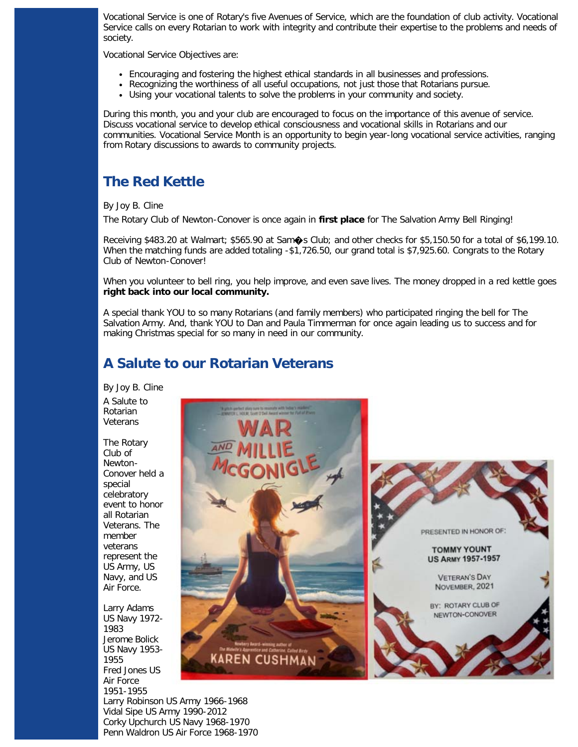Vocational Service is one of Rotary's five Avenues of Service, which are the foundation of club activity. Vocational Service calls on every Rotarian to work with integrity and contribute their expertise to the problems and needs of society.

Vocational Service Objectives are:

- Encouraging and fostering the highest ethical standards in all businesses and professions.
- Recognizing the worthiness of all useful occupations, not just those that Rotarians pursue.
- Using your vocational talents to solve the problems in your community and society.

During this month, you and your club are encouraged to focus on the importance of this avenue of service. Discuss vocational service to develop ethical consciousness and vocational skills in Rotarians and our communities. Vocational Service Month is an opportunity to begin year-long vocational service activities, ranging from Rotary discussions to awards to community projects.

## **The Red Kettle**

By Joy B. Cline

The Rotary Club of Newton-Conover is once again in **first place** for The Salvation Army Bell Ringing!

Receiving \$483.20 at Walmart; \$565.90 at Sam�s Club; and other checks for \$5,150.50 for a total of \$6,199.10. When the matching funds are added totaling -\$1,726.50, our grand total is \$7,925.60. Congrats to the Rotary Club of Newton-Conover!

When you volunteer to bell ring, you help improve, and even save lives. The money dropped in a red kettle goes **right back into our local community.**

A special thank YOU to so many Rotarians (and family members) who participated ringing the bell for The Salvation Army. And, thank YOU to Dan and Paula Timmerman for once again leading us to success and for making Christmas special for so many in need in our community.

## **A Salute to our Rotarian Veterans**

By Joy B. Cline A Salute to Rotarian Veterans

The Rotary Club of Newton-Conover held a special celebratory event to honor all Rotarian Veterans. The member veterans represent the US Army, US Navy, and US Air Force.

Larry Adams US Navy 1972- 1983 Jerome Bolick US Navy 1953- 1955 Fred Jones US Air Force 1951-1955 Larry Robinson US Army 1966-1968



Vidal Sipe US Army 1990-2012 Corky Upchurch US Navy 1968-1970 Penn Waldron US Air Force 1968-1970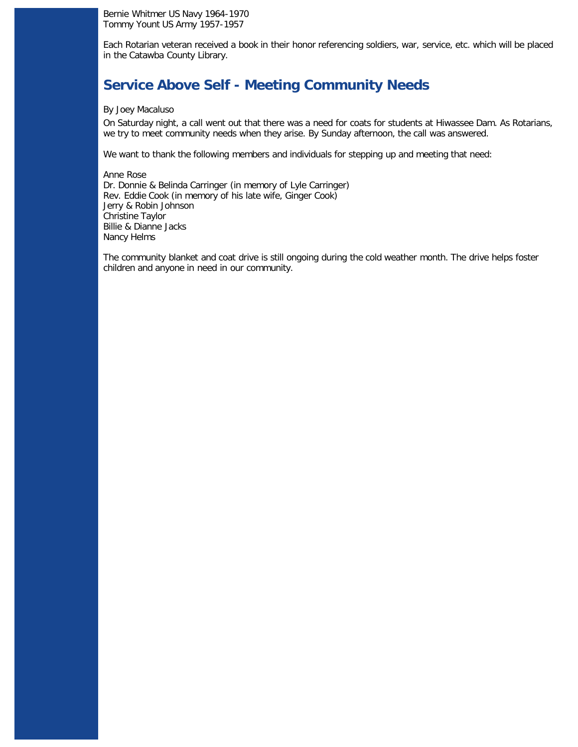Bernie Whitmer US Navy 1964-1970 Tommy Yount US Army 1957-1957

Each Rotarian veteran received a book in their honor referencing soldiers, war, service, etc. which will be placed in the Catawba County Library.

### **Service Above Self - Meeting Community Needs**

#### By Joey Macaluso

On Saturday night, a call went out that there was a need for coats for students at Hiwassee Dam. As Rotarians, we try to meet community needs when they arise. By Sunday afternoon, the call was answered.

We want to thank the following members and individuals for stepping up and meeting that need:

Anne Rose Dr. Donnie & Belinda Carringer (in memory of Lyle Carringer) Rev. Eddie Cook (in memory of his late wife, Ginger Cook) Jerry & Robin Johnson Christine Taylor Billie & Dianne Jacks Nancy Helms

The community blanket and coat drive is still ongoing during the cold weather month. The drive helps foster children and anyone in need in our community.